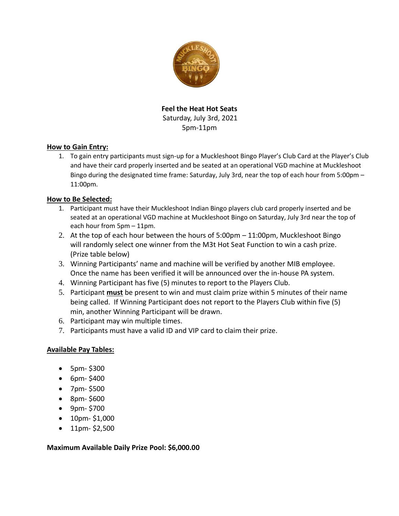

**Feel the Heat Hot Seats** Saturday, July 3rd, 2021 5pm-11pm

## **How to Gain Entry:**

1. To gain entry participants must sign-up for a Muckleshoot Bingo Player's Club Card at the Player's Club and have their card properly inserted and be seated at an operational VGD machine at Muckleshoot Bingo during the designated time frame: Saturday, July 3rd, near the top of each hour from 5:00pm – 11:00pm.

## **How to Be Selected:**

- 1. Participant must have their Muckleshoot Indian Bingo players club card properly inserted and be seated at an operational VGD machine at Muckleshoot Bingo on Saturday, July 3rd near the top of each hour from 5pm – 11pm.
- 2. At the top of each hour between the hours of 5:00pm 11:00pm, Muckleshoot Bingo will randomly select one winner from the M3t Hot Seat Function to win a cash prize. (Prize table below)
- 3. Winning Participants' name and machine will be verified by another MIB employee. Once the name has been verified it will be announced over the in-house PA system.
- 4. Winning Participant has five (5) minutes to report to the Players Club.
- 5. Participant **must** be present to win and must claim prize within 5 minutes of their name being called. If Winning Participant does not report to the Players Club within five (5) min, another Winning Participant will be drawn.
- 6. Participant may win multiple times.
- 7. Participants must have a valid ID and VIP card to claim their prize.

## **Available Pay Tables:**

- 5pm- \$300
- 6pm- \$400
- 7pm- \$500
- 8pm- \$600
- 9pm- \$700
- 10pm- \$1,000
- 11pm- \$2,500

**Maximum Available Daily Prize Pool: \$6,000.00**